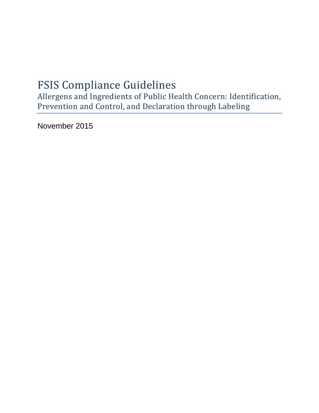# FSIS Compliance Guidelines

Allergens and Ingredients of Public Health Concern: Identification, Prevention and Control, and Declaration through Labeling

November 2015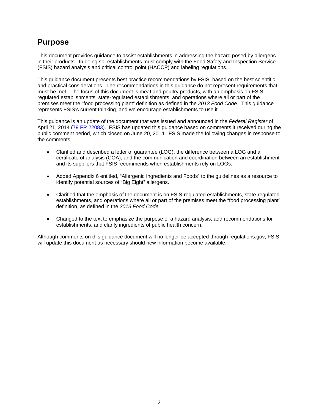## **Purpose**

This document provides guidance to assist establishments in addressing the hazard posed by allergens in their products. In doing so, establishments must comply with the Food Safety and Inspection Service (FSIS) hazard analysis and critical control point (HACCP) and labeling regulations.

This guidance document presents best practice recommendations by FSIS, based on the best scientific and practical considerations. The recommendations in this guidance do not represent requirements that must be met. The focus of this document is meat and poultry products, with an emphasis on FSISregulated establishments, state-regulated establishments, and operations where all or part of the premises meet the "food processing plant" definition as defined in the *2013 Food Code*. This guidance represents FSIS's current thinking, and we encourage establishments to use it.

This guidance is an update of the document that was issued and announced in the *Federal Register* of April 21, 2014 [\(79 FR 22083\)](http://www.fsis.usda.gov/wps/wcm/connect/9c16445c-8faa-4c07-b347-fab848bfd349/2013-0029.htm?MOD=AJPERES). FSIS has updated this guidance based on comments it received during the public comment period, which closed on June 20, 2014. FSIS made the following changes in response to the comments:

- Clarified and described a letter of guarantee (LOG), the difference between a LOG and a certificate of analysis (COA), and the communication and coordination between an establishment and its suppliers that FSIS recommends when establishments rely on LOGs.
- Added Appendix 6 entitled, "Allergenic Ingredients and Foods" to the guidelines as a resource to identify potential sources of "Big Eight" allergens.
- Clarified that the emphasis of the document is on FSIS-regulated establishments, state-regulated establishments, and operations where all or part of the premises meet the "food processing plant" definition, as defined in the *2013 Food Code.*
- Changed to the text to emphasize the purpose of a hazard analysis, add recommendations for establishments, and clarify ingredients of public health concern.

Although comments on this guidance document will no longer be accepted through regulations.gov, FSIS will update this document as necessary should new information become available.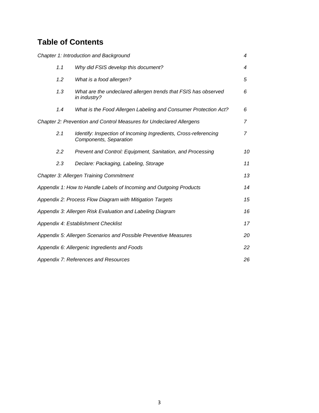## **Table of Contents**

|                                                           | Chapter 1: Introduction and Background                                                    | 4              |  |
|-----------------------------------------------------------|-------------------------------------------------------------------------------------------|----------------|--|
| 1.1                                                       | Why did FSIS develop this document?                                                       | 4              |  |
| 1.2                                                       | What is a food allergen?                                                                  | 5              |  |
| 1.3                                                       | What are the undeclared allergen trends that FSIS has observed<br>in industry?            | 6              |  |
| 1.4                                                       | What is the Food Allergen Labeling and Consumer Protection Act?                           | 6              |  |
|                                                           | Chapter 2: Prevention and Control Measures for Undeclared Allergens                       | $\overline{7}$ |  |
| 2.1                                                       | Identify: Inspection of Incoming Ingredients, Cross-referencing<br>Components, Separation | $\overline{7}$ |  |
| 2.2                                                       | Prevent and Control: Equipment, Sanitation, and Processing                                | 10             |  |
| 2.3                                                       | Declare: Packaging, Labeling, Storage                                                     | 11             |  |
|                                                           | Chapter 3: Allergen Training Commitment                                                   | 13             |  |
|                                                           | Appendix 1: How to Handle Labels of Incoming and Outgoing Products                        | 14             |  |
|                                                           | Appendix 2: Process Flow Diagram with Mitigation Targets                                  | 15             |  |
| Appendix 3: Allergen Risk Evaluation and Labeling Diagram |                                                                                           |                |  |
|                                                           | Appendix 4: Establishment Checklist                                                       | 17             |  |
|                                                           | Appendix 5: Allergen Scenarios and Possible Preventive Measures                           | 20             |  |
|                                                           | Appendix 6: Allergenic Ingredients and Foods                                              | 22             |  |
|                                                           | Appendix 7: References and Resources                                                      | 26             |  |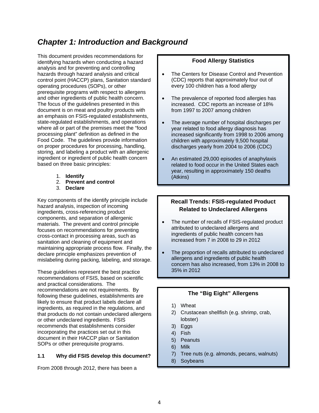## *Chapter 1: Introduction and Background*

This document provides recommendations for identifying hazards when conducting a hazard analysis and for preventing and controlling hazards through hazard analysis and critical control point (HACCP) plans, Sanitation standard operating procedures (SOPs), or other prerequisite programs with respect to allergens and other ingredients of public health concern. The focus of the guidelines presented in this document is on meat and poultry products with an emphasis on FSIS-regulated establishments, state-regulated establishments, and operations where all or part of the premises meet the "food processing plant" definition as defined in the Food Code. The guidelines provide information on proper procedures for processing, handling, storing, and labeling a product with an allergenic ingredient or ingredient of public health concern based on three basic principles:

- 1. **Identify**
- 2. **Prevent and control**
- 3. **Declare**

Key components of the identify principle include hazard analysis, inspection of incoming ingredients, cross-referencing product components, and separation of allergenic materials. The prevent and control principle focuses on recommendations for preventing cross-contact in processing areas, such as sanitation and cleaning of equipment and maintaining appropriate process flow. Finally, the declare principle emphasizes prevention of mislabeling during packing, labeling, and storage.

These guidelines represent the best practice recommendations of FSIS, based on scientific and practical considerations. The recommendations are not requirements. By following these guidelines, establishments are likely to ensure that product labels declare all ingredients, as required in the regulations, and that products do not contain undeclared allergens or other undeclared ingredients. FSIS recommends that establishments consider incorporating the practices set out in this document in their HACCP plan or Sanitation SOPs or other prerequisite programs.

### **1.1 Why did FSIS develop this document?**

From 2008 through 2012, there has been a

### **Food Allergy Statistics**

- The Centers for Disease Control and Prevention (CDC) reports that approximately four out of every 100 children has a food allergy
- The prevalence of reported food allergies has increased. CDC reports an increase of 18% from 1997 to 2007 among children
- The average number of hospital discharges per year related to food allergy diagnosis has increased significantly from 1998 to 2006 among children with approximately 9,500 hospital discharges yearly from 2004 to 2006 (CDC)
- An estimated 29,000 episodes of anaphylaxis related to food occur in the United States each year, resulting in approximately 150 deaths (Atkins)

### **Recall Trends: FSIS-regulated Product Related to Undeclared Allergens**

- The number of recalls of FSIS-regulated product attributed to undeclared allergens and ingredients of public health concern has increased from 7 in 2008 to 29 in 2012
- The proportion of recalls attributed to undeclared allergens and ingredients of public health concern has also increased, from 13% in 2008 to 35% in 2012

### **The "Big Eight" Allergens**

- 1) Wheat
- 2) Crustacean shellfish (e.g. shrimp, crab, lobster)
- 3) Eggs
- 4) Fish
- 5) Peanuts
- 6) Milk
- 7) Tree nuts (e.g. almonds, pecans, walnuts)
- 8) Soybeans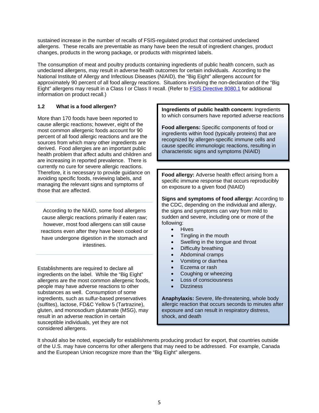sustained increase in the number of recalls of FSIS-regulated product that contained undeclared allergens. These recalls are preventable as many have been the result of ingredient changes, product changes, products in the wrong package, or products with misprinted labels.

The consumption of meat and poultry products containing ingredients of public health concern, such as undeclared allergens, may result in adverse health outcomes for certain individuals. According to the National Institute of Allergy and Infectious Diseases (NIAID), the "Big Eight" allergens account for approximately 90 percent of all food allergy reactions. Situations involving the non-declaration of the "Big Eight" allergens may result in a Class I or Class II recall. (Refer to [FSIS Directive](http://www.fsis.usda.gov/wps/wcm/connect/77a99dc3-9784-4a1f-b694-ecf4eea455a6/8080.1.pdf?MOD=AJPERES) 8080.1 for additional information on product recall.)

### **1.2 What is a food allergen?**

More than 170 foods have been reported to cause allergic reactions; however, eight of the most common allergenic foods account for 90 percent of all food allergic reactions and are the sources from which many other ingredients are derived. Food allergies are an important public health problem that affect adults and children and are increasing in reported prevalence. There is currently no cure for severe allergic reactions. Therefore, it is necessary to provide guidance on avoiding specific foods, reviewing labels, and managing the relevant signs and symptoms of those that are affected.

According to the NIAID, some food allergens cause allergic reactions primarily if eaten raw; however, most food allergens can still cause reactions even after they have been cooked or have undergone digestion in the stomach and intestines.

Establishments are required to declare all ingredients on the label. While the "Big Eight" allergens are the most common allergenic foods, people may have adverse reactions to other substances as well. Consumption of some ingredients, such as sulfur-based preservatives (sulfites), lactose, FD&C Yellow 5 (Tartrazine), gluten, and monosodium glutamate (MSG), may result in an adverse reaction in certain susceptible individuals, yet they are not considered allergens.

**Ingredients of public health concern:** Ingredients to which consumers have reported adverse reactions

**Food allergens:** Specific components of food or ingredients within food (typically proteins) that are recognized by allergen-specific immune cells and cause specific immunologic reactions, resulting in characteristic signs and symptoms (NIAID)

**Food allergy:** Adverse health effect arising from a specific immune response that occurs reproducibly on exposure to a given food (NIAID)

**Signs and symptoms of food allergy:** According to the CDC, depending on the individual and allergy, the signs and symptoms can vary from mild to sudden and severe, including one or more of the following:

- Hives
- Tingling in the mouth
- Swelling in the tongue and throat
- Difficulty breathing
- Abdominal cramps
- Vomiting or diarrhea
- Eczema or rash
- Coughing or wheezing
- Loss of consciousness
- **Dizziness**

**Anaphylaxis:** Severe, life-threatening, whole body allergic reaction that occurs seconds to minutes after exposure and can result in respiratory distress, shock, and death

It should also be noted, especially for establishments producing product for export, that countries outside of the U.S. may have concerns for other allergens that may need to be addressed. For example, Canada and the European Union recognize more than the "Big Eight" allergens.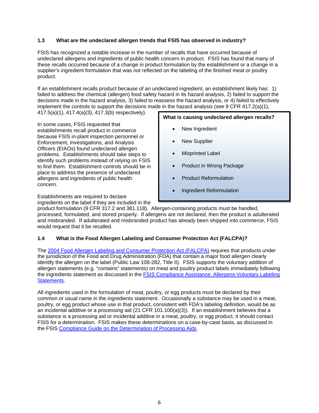### **1.3 What are the undeclared allergen trends that FSIS has observed in industry?**

FSIS has recognized a notable increase in the number of recalls that have occurred because of undeclared allergens and ingredients of public health concern in product. FSIS has found that many of these recalls occurred because of a change in product formulation by the establishment or a change in a supplier's ingredient formulation that was not reflected on the labeling of the finished meat or poultry product.

If an establishment recalls product because of an undeclared ingredient, an establishment likely has: 1) failed to address the chemical (allergen) food safety hazard in its hazard analysis, 2) failed to support the decisions made in the hazard analysis, 3) failed to reassess the hazard analysis, or 4) failed to effectively implement the controls to support the decisions made in the hazard analysis (see 9 CFR 417.2(a)(1),

417.5(a)(1), 417.4(a)(3), 417.3(b) respectively).

In some cases, FSIS requested that establishments recall product in commerce because FSIS in-plant inspection personnel or Enforcement, Investigations, and Analysis Officers (EIAOs) found undeclared allergen problems. Establishments should take steps to identify such problems instead of relying on FSIS to find them. Establishment controls should be in place to address the presence of undeclared allergens and ingredients of public health concern.

Establishments are required to declare

ingredients on the label if they are included in the

**What is causing undeclared allergen recalls?**

- New Ingredient
- **New Supplier**
- **Misprinted Label**
- Product in Wrong Package
- Product Reformulation
- Ingredient Reformulation

product formulation (9 CFR 317.2 and 381.118). Allergen-containing products must be handled, processed, formulated, and stored properly. If allergens are not declared, then the product is adulterated and misbranded. If adulterated and misbranded product has already been shipped into commerce, FSIS would request that it be recalled.

### **1.4 What is the Food Allergen Labeling and Consumer Protection Act (FALCPA)?**

The [2004 Food Allergen Labeling and Consumer Protection Act \(FALCPA\)](http://www.fda.gov/Food/LabelingNutrition/FoodAllergensLabeling/GuidanceComplianceRegulatoryInformation/ucm106187.htm) requires that products under the jurisdiction of the Food and Drug Administration (FDA) that contain a major food allergen clearly identify the allergen on the label (Public Law 108-282, Title II). FSIS supports the voluntary addition of allergen statements (e.g. "contains" statements) on meat and poultry product labels immediately following the ingredients statement as discussed in the [FSIS Compliance Assistance: Allergens-Voluntary Labeling](http://www.fsis.usda.gov/wps/portal/fsis/topics/regulatory-compliance/labeling/ingredients-guidance/allergens-voluntary-labeling-statements)  [Statements.](http://www.fsis.usda.gov/wps/portal/fsis/topics/regulatory-compliance/labeling/ingredients-guidance/allergens-voluntary-labeling-statements)

All ingredients used in the formulation of meat, poultry, or egg products must be declared by their common or usual name in the ingredients statement. Occasionally a substance may be used in a meat, poultry, or egg product whose use in that product, consistent with FDA's labeling definition, would be as an incidental additive or a processing aid (21 CFR 101.100(a)(3)). If an establishment believes that a substance is a processing aid or incidental additive in a meat, poultry, or egg product, it should contact FSIS for a determination. FSIS makes these determinations on a case-by-case basis, as discussed in the FSIS [Compliance Guide on the Determination of Processing Aids.](http://www.fsis.usda.gov/wps/wcm/connect/9a34e8d9-997a-4c58-bd5e-d87cc371ecda/Determination_of_Processing_Aids.pdf?MOD=AJPERES)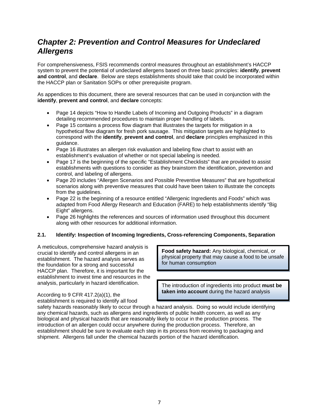## *Chapter 2: Prevention and Control Measures for Undeclared Allergens*

For comprehensiveness, FSIS recommends control measures throughout an establishment's HACCP system to prevent the potential of undeclared allergens based on three basic principles: **identify**, **prevent and control**, and **declare**. Below are steps establishments should take that could be incorporated within the HACCP plan or Sanitation SOPs or other prerequisite program.

As appendices to this document, there are several resources that can be used in conjunction with the **identify**, **prevent and control**, and **declare** concepts:

- Page 14 depicts "How to Handle Labels of Incoming and Outgoing Products" in a diagram detailing recommended procedures to maintain proper handling of labels.
- Page 15 contains a process flow diagram that illustrates the targets for mitigation in a hypothetical flow diagram for fresh pork sausage. This mitigation targets are highlighted to correspond with the **identify**, **prevent and control**, and **declare** principles emphasized in this guidance.
- Page 16 illustrates an allergen risk evaluation and labeling flow chart to assist with an establishment's evaluation of whether or not special labeling is needed.
- Page 17 is the beginning of the specific "Establishment Checklists" that are provided to assist establishments with questions to consider as they brainstorm the identification, prevention and control, and labeling of allergens.
- Page 20 includes "Allergen Scenarios and Possible Preventive Measures" that are hypothetical scenarios along with preventive measures that could have been taken to illustrate the concepts from the guidelines.
- Page 22 is the beginning of a resource entitled "Allergenic Ingredients and Foods" which was adapted from Food Allergy Research and Education (FARE) to help establishments identify "Big Eight" allergens.
- Page 26 highlights the references and sources of information used throughout this document along with other resources for additional information.

### **2.1. Identify: Inspection of Incoming Ingredients, Cross-referencing Components, Separation**

A meticulous, comprehensive hazard analysis is crucial to identify and control allergens in an establishment. The hazard analysis serves as the foundation for a strong and successful HACCP plan. Therefore, it is important for the establishment to invest time and resources in the analysis, particularly in hazard identification.

**Food safety hazard:** Any biological, chemical, or physical property that may cause a food to be unsafe for human consumption

The introduction of ingredients into product **must be taken into account** during the hazard analysis

According to 9 CFR 417.2(a)(1), the establishment is required to identify all food

safety hazards reasonably likely to occur through a hazard analysis. Doing so would include identifying any chemical hazards, such as allergens and ingredients of public health concern, as well as any biological and physical hazards that are reasonably likely to occur in the production process. The introduction of an allergen could occur anywhere during the production process. Therefore, an establishment should be sure to evaluate each step in its process from receiving to packaging and shipment. Allergens fall under the chemical hazards portion of the hazard identification.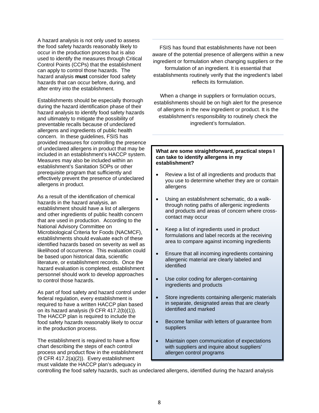A hazard analysis is not only used to assess the food safety hazards reasonably likely to occur in the production process but is also used to identify the measures through Critical Control Points (CCPs) that the establishment can apply to control those hazards. The hazard analysis **must** consider food safety hazards that can occur before, during, and after entry into the establishment.

Establishments should be especially thorough during the hazard identification phase of their hazard analysis to identify food safety hazards and ultimately to mitigate the possibility of preventable recalls because of undeclared allergens and ingredients of public health concern. In these guidelines, FSIS has provided measures for controlling the presence of undeclared allergens in product that may be included in an establishment's HACCP system. Measures may also be included within an establishment's Sanitation SOPs or other prerequisite program that sufficiently and effectively prevent the presence of undeclared allergens in product.

As a result of the identification of chemical hazards in the hazard analysis, an establishment should have a list of allergens and other ingredients of public health concern that are used in production. According to the National Advisory Committee on Microbiological Criteria for Foods (NACMCF), establishments should evaluate each of these identified hazards based on severity as well as likelihood of occurrence. This evaluation could be based upon historical data, scientific literature, or establishment records. Once the hazard evaluation is completed, establishment personnel should work to develop approaches to control those hazards.

As part of food safety and hazard control under federal regulation, every establishment is required to have a written HACCP plan based on its hazard analysis (9 CFR 417.2(b)(1)). The HACCP plan is required to include the food safety hazards reasonably likely to occur in the production process.

The establishment is required to have a flow chart describing the steps of each control process and product flow in the establishment (9 CFR 417.2(a)(2)). Every establishment must validate the HACCP plan's adequacy in

FSIS has found that establishments have not been aware of the potential presence of allergens within a new ingredient or formulation when changing suppliers or the formulation of an ingredient. It is essential that establishments routinely verify that the ingredient's label reflects its formulation.

When a change in suppliers or formulation occurs, establishments should be on high alert for the presence of allergens in the new ingredient or product. It is the establishment's responsibility to routinely check the ingredient's formulation.

#### **What are some straightforward, practical steps I can take to identify allergens in my establishment?**

- Review a list of all ingredients and products that you use to determine whether they are or contain allergens
- Using an establishment schematic, do a walkthrough noting paths of allergenic ingredients and products and areas of concern where crosscontact may occur
- Keep a list of ingredients used in product formulations and label records at the receiving area to compare against incoming ingredients
- Ensure that all incoming ingredients containing allergenic material are clearly labeled and identified
- Use color coding for allergen-containing ingredients and products
- Store ingredients containing allergenic materials in separate, designated areas that are clearly identified and marked
- Become familiar with letters of guarantee from suppliers
- Maintain open communication of expectations with suppliers and inquire about suppliers' allergen control programs

controlling the food safety hazards, such as undeclared allergens, identified during the hazard analysis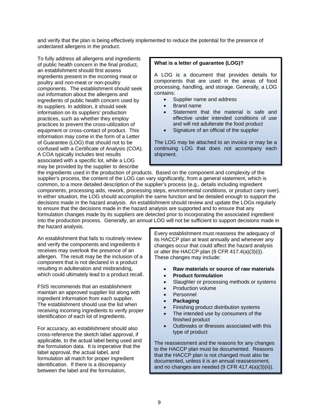and verify that the plan is being effectively implemented to reduce the potential for the presence of undeclared allergens in the product.

To fully address all allergens and ingredients of public health concern in the final product, an establishment should first assess ingredients present in the incoming meat or poultry and non-meat or non-poultry components. The establishment should seek out information about the allergens and ingredients of public health concern used by its suppliers. In addition, it should seek information on its suppliers' production practices, such as whether they employ practices to prevent the cross-utilization of equipment or cross-contact of product. This information may come in the form of a Letter of Guarantee (LOG) that should not to be confused with a Certificate of Analysis (COA). A COA typically includes test results associated with a specific lot, while a LOG may be provided by the supplier to describe

### **What is a letter of guarantee (LOG)?**

A LOG is a document that provides details for components that are used in the areas of food processing, handling, and storage. Generally, a LOG contains:

- Supplier name and address
- Brand name
- Statement that the material is safe and effective under intended conditions of use and will not adulterate the food product
- Signature of an official of the supplier

The LOG may be attached to an invoice or may be a continuing LOG that does not accompany each shipment.

the ingredients used in the production of products. Based on the component and complexity of the supplier's process, the content of the LOG can vary significantly, from a general statement, which is common, to a more detailed description of the supplier's process (e.g., details including ingredient components, processing aids, rework, processing steps, environmental conditions, or product carry over). In either situation, the LOG should accomplish the same function and be detailed enough to support the decisions made in the hazard analysis. An establishment should review and update the LOGs regularly to ensure that the decisions made in the hazard analysis are supported and to ensure that any formulation changes made by its suppliers are detected prior to incorporating the associated ingredient into the production process. Generally, an annual LOG will not be sufficient to support decisions made in the hazard analysis.

An establishment that fails to routinely review and verify the components and ingredients it receives may overlook the presence of an allergen. The result may be the inclusion of a component that is not declared in a product resulting in adulteration and misbranding, which could ultimately lead to a product recall.

FSIS recommends that an establishment maintain an approved supplier list along with ingredient information from each supplier. The establishment should use the list when receiving incoming ingredients to verify proper identification of each lot of ingredients.

For accuracy, an establishment should also cross-reference the sketch label approval, if applicable, to the actual label being used and the formulation data. It is imperative that the label approval, the actual label, and formulation all match for proper ingredient identification. If there is a discrepancy between the label and the formulation,

Every establishment must reassess the adequacy of its HACCP plan at least annually and whenever any changes occur that could affect the hazard analysis or alter the HACCP plan (9 CFR 417.4(a)(3)(i)). These changes may include:

- **Raw materials or source of raw materials**
- **Product formulation**
- Slaughter or processing methods or systems
- Production volume
- Personnel
- **Packaging**
- Finishing product distribution systems
- The intended use by consumers of the finished product
- Outbreaks or illnesses associated with this type of product

The reassessment and the reasons for any changes to the HACCP plan must be documented. Reasons that the HACCP plan is not changed must also be documented, unless it is an annual reassessment, and no changes are needed (9 CFR 417.4(a)(3)(ii)).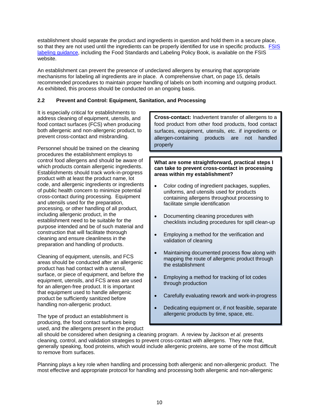establishment should separate the product and ingredients in question and hold them in a secure place, so that they are not used until the ingredients can be properly identified for use in specific products. FSIS [labeling guidance,](http://www.fsis.usda.gov/wps/portal/fsis/topics/regulatory-compliance/labeling/Labeling-Policies) including the Food Standards and Labeling Policy Book, is available on the FSIS website.

An establishment can prevent the presence of undeclared allergens by ensuring that appropriate mechanisms for labeling all ingredients are in place. A comprehensive chart, on page 15, details recommended procedures to maintain proper handling of labels on both incoming and outgoing product. As exhibited, this process should be conducted on an ongoing basis.

### **2.2 Prevent and Control: Equipment, Sanitation, and Processing**

It is especially critical for establishments to address cleaning of equipment, utensils, and food contact surfaces (FCS) when producing both allergenic and non-allergenic product, to prevent cross-contact and misbranding.

Personnel should be trained on the cleaning procedures the establishment employs to control food allergens and should be aware of which products contain allergenic ingredients. Establishments should track work-in-progress product with at least the product name, lot code, and allergenic ingredients or ingredients of public health concern to minimize potential cross-contact during processing. Equipment and utensils used for the preparation, processing, or other handling of all product, including allergenic product, in the establishment need to be suitable for the purpose intended and be of such material and construction that will facilitate thorough cleaning and ensure cleanliness in the preparation and handling of products.

Cleaning of equipment, utensils, and FCS areas should be conducted after an allergenic product has had contact with a utensil, surface, or piece of equipment, and before the equipment, utensils, and FCS areas are used for an allergen-free product. It is important that equipment used to handle allergenic product be sufficiently sanitized before handling non-allergenic product.

The type of product an establishment is producing, the food contact surfaces being used, and the allergens present in the product **Cross-contact:** Inadvertent transfer of allergens to a food product from other food products, food contact surfaces, equipment, utensils, etc. if ingredients or allergen-containing products are not handled properly

**What are some straightforward, practical steps I can take to prevent cross-contact in processing areas within my establishment?**

- Color coding of ingredient packages, supplies, uniforms, and utensils used for products containing allergens throughout processing to facilitate simple identification
- Documenting cleaning procedures with checklists including procedures for spill clean-up
- Employing a method for the verification and validation of cleaning
- Maintaining documented process flow along with mapping the route of allergenic product through the establishment
- Employing a method for tracking of lot codes through production
- Carefully evaluating rework and work-in-progress
- Dedicating equipment or, if not feasible, separate allergenic products by time, space, etc.

all should be considered when designing a cleaning program. A review by *Jackson et al.* presents cleaning, control, and validation strategies to prevent cross-contact with allergens. They note that, generally speaking, food proteins, which would include allergenic proteins, are some of the most difficult to remove from surfaces.

Planning plays a key role when handling and processing both allergenic and non-allergenic product. The most effective and appropriate protocol for handling and processing both allergenic and non-allergenic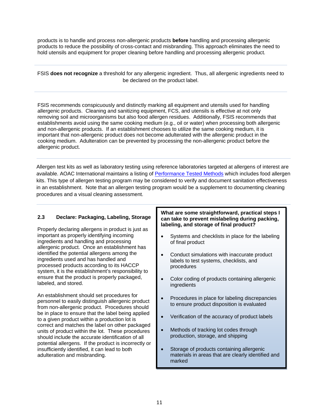products is to handle and process non-allergenic products **before** handling and processing allergenic products to reduce the possibility of cross-contact and misbranding. This approach eliminates the need to hold utensils and equipment for proper cleaning before handling and processing allergenic product.

FSIS **does not recognize** a threshold for any allergenic ingredient. Thus, all allergenic ingredients need to be declared on the product label.

FSIS recommends conspicuously and distinctly marking all equipment and utensils used for handling allergenic products. Cleaning and sanitizing equipment, FCS, and utensils is effective at not only removing soil and microorganisms but also food allergen residues. Additionally, FSIS recommends that establishments avoid using the same cooking medium (e.g., oil or water) when processing both allergenic and non-allergenic products. If an establishment chooses to utilize the same cooking medium, it is important that non-allergenic product does not become adulterated with the allergenic product in the cooking medium. Adulteration can be prevented by processing the non-allergenic product before the allergenic product.

Allergen test kits as well as laboratory testing using reference laboratories targeted at allergens of interest are available. AOAC International maintains a listing of [Performance Tested Methods](http://www.aoac.org/testkits/testedmethods.html) which includes food allergen kits. This type of allergen testing program may be considered to verify and document sanitation effectiveness in an establishment. Note that an allergen testing program would be a supplement to documenting cleaning procedures and a visual cleaning assessment.

### **2.3 Declare: Packaging, Labeling, Storage**

Properly declaring allergens in product is just as important as properly identifying incoming ingredients and handling and processing allergenic product. Once an establishment has identified the potential allergens among the ingredients used and has handled and processed products according to its HACCP system, it is the establishment's responsibility to ensure that the product is properly packaged, labeled, and stored.

An establishment should set procedures for personnel to easily distinguish allergenic product from non-allergenic product. Procedures should be in place to ensure that the label being applied to a given product within a production lot is correct and matches the label on other packaged units of product within the lot. These procedures should include the accurate identification of all potential allergens. If the product is incorrectly or insufficiently identified, it can lead to both adulteration and misbranding.

#### **What are some straightforward, practical steps I can take to prevent mislabeling during packing, labeling, and storage of final product?**

- Systems and checklists in place for the labeling of final product
- Conduct simulations with inaccurate product labels to test systems, checklists, and procedures
- Color coding of products containing allergenic ingredients
- Procedures in place for labeling discrepancies to ensure product disposition is evaluated
- Verification of the accuracy of product labels
- Methods of tracking lot codes through production, storage, and shipping
- Storage of products containing allergenic materials in areas that are clearly identified and marked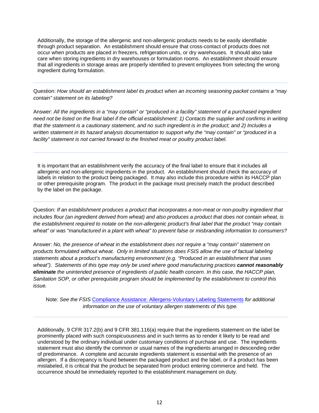Additionally, the storage of the allergenic and non-allergenic products needs to be easily identifiable through product separation. An establishment should ensure that cross-contact of products does not occur when products are placed in freezers, refrigeration units, or dry warehouses. It should also take care when storing ingredients in dry warehouses or formulation rooms. An establishment should ensure that all ingredients in storage areas are properly identified to prevent employees from selecting the wrong ingredient during formulation.

Question: *How should an establishment label its product when an incoming seasoning packet contains a "may contain" statement on its labeling?*

Answer: *All the ingredients in a "may contain" or "produced in a facility" statement of a purchased ingredient need not be listed on the final label if the official establishment: 1) Contacts the supplier and confirms in writing that the statement is a cautionary statement, and no such ingredient is in the product; and 2) Includes a written statement in its hazard analysis documentation to support why the "may contain" or "produced in a facility" statement is not carried forward to the finished meat or poultry product label.*

It is important that an establishment verify the accuracy of the final label to ensure that it includes all allergenic and non-allergenic ingredients in the product. An establishment should check the accuracy of labels in relation to the product being packaged. It may also include this procedure within its HACCP plan or other prerequisite program. The product in the package must precisely match the product described by the label on the package.

Question: *If an establishment produces a product that incorporates a non-meat or non-poultry ingredient that includes flour (an ingredient derived from wheat) and also produces a product that does not contain wheat, is the establishment required to notate on the non-allergenic product's final label that the product "may contain wheat" or was "manufactured in a plant with wheat" to prevent false or misbranding information to consumers?*

Answer: *No, the presence of wheat in the establishment does not require a "may contain" statement on products formulated without wheat. Only in limited situations does FSIS allow the use of factual labeling statements about a product's manufacturing environment (e.g. "Produced in an establishment that uses wheat"). Statements of this type may only be used where good manufacturing practices cannot reasonably eliminate the unintended presence of ingredients of public health concern. In this case, the HACCP plan, Sanitation SOP, or other prerequisite program should be implemented by the establishment to control this issue.*

Note: *See the FSIS* [Compliance Assistance: Allergens-Voluntary Labeling Statements](http://www.fsis.usda.gov/wps/portal/fsis/topics/regulatory-compliance/labeling/ingredients-guidance/allergens-voluntary-labeling-statements) *for additional information on the use of voluntary allergen statements of this type.*

Additionally, 9 CFR 317.2(b) and 9 CFR 381.116(a) require that the ingredients statement on the label be prominently placed with such conspicuousness and in such terms as to render it likely to be read and understood by the ordinary individual under customary conditions of purchase and use. The ingredients statement must also identify the common or usual names of the ingredients arranged in descending order of predominance. A complete and accurate ingredients statement is essential with the presence of an allergen. If a discrepancy is found between the packaged product and the label, or if a product has been mislabeled, it is critical that the product be separated from product entering commerce and held. The occurrence should be immediately reported to the establishment management on duty.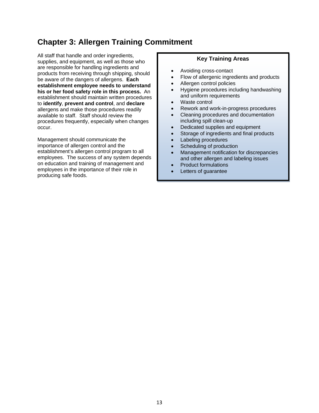## **Chapter 3: Allergen Training Commitment**

All staff that handle and order ingredients, supplies, and equipment, as well as those who are responsible for handling ingredients and products from receiving through shipping, should be aware of the dangers of allergens. **Each establishment employee needs to understand his or her food safety role in this process.** An establishment should maintain written procedures to **identify**, **prevent and control**, and **declare** allergens and make those procedures readily available to staff. Staff should review the procedures frequently, especially when changes occur.

Management should communicate the importance of allergen control and the establishment's allergen control program to all employees. The success of any system depends on education and training of management and employees in the importance of their role in producing safe foods.

### **Key Training Areas**

- Avoiding cross-contact
- Flow of allergenic ingredients and products
- Allergen control policies
- Hygiene procedures including handwashing and uniform requirements
- Waste control
- Rework and work-in-progress procedures
- Cleaning procedures and documentation including spill clean-up
- Dedicated supplies and equipment
- Storage of ingredients and final products
- Labeling procedures
- Scheduling of production
- Management notification for discrepancies and other allergen and labeling issues
- Product formulations
- Letters of quarantee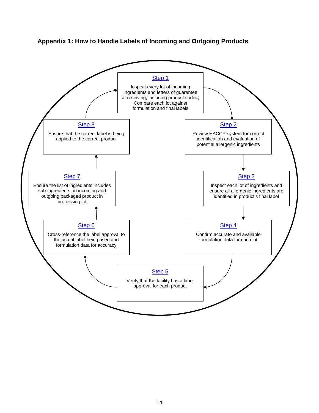

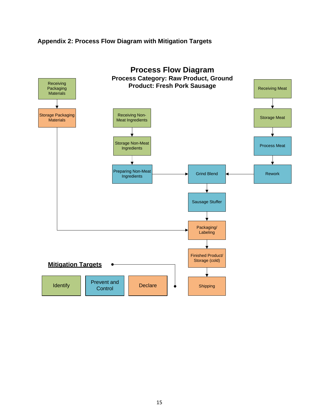### **Appendix 2: Process Flow Diagram with Mitigation Targets**

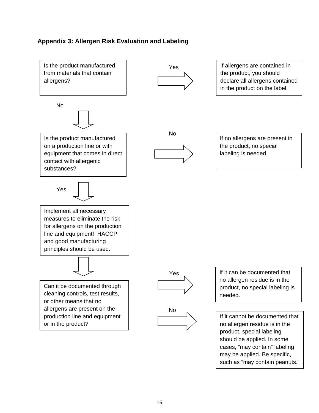### **Appendix 3: Allergen Risk Evaluation and Labeling**

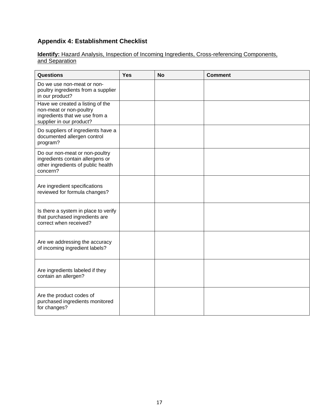### **Appendix 4: Establishment Checklist**

### **Identify:** Hazard Analysis, Inspection of Incoming Ingredients, Cross-referencing Components, and Separation

| Questions                                                                                                                 | <b>Yes</b> | <b>No</b> | <b>Comment</b> |
|---------------------------------------------------------------------------------------------------------------------------|------------|-----------|----------------|
| Do we use non-meat or non-<br>poultry ingredients from a supplier<br>in our product?                                      |            |           |                |
| Have we created a listing of the<br>non-meat or non-poultry<br>ingredients that we use from a<br>supplier in our product? |            |           |                |
| Do suppliers of ingredients have a<br>documented allergen control<br>program?                                             |            |           |                |
| Do our non-meat or non-poultry<br>ingredients contain allergens or<br>other ingredients of public health<br>concern?      |            |           |                |
| Are ingredient specifications<br>reviewed for formula changes?                                                            |            |           |                |
| Is there a system in place to verify<br>that purchased ingredients are<br>correct when received?                          |            |           |                |
| Are we addressing the accuracy<br>of incoming ingredient labels?                                                          |            |           |                |
| Are ingredients labeled if they<br>contain an allergen?                                                                   |            |           |                |
| Are the product codes of<br>purchased ingredients monitored<br>for changes?                                               |            |           |                |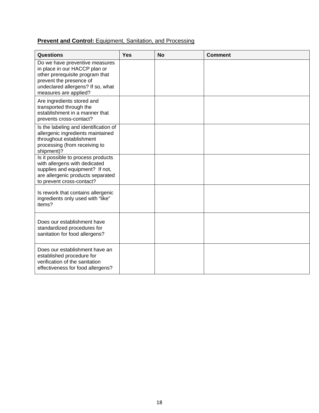### **Prevent and Control:** Equipment, Sanitation, and Processing

| Questions                                                                                                                                                                                   | <b>Yes</b> | <b>No</b> | <b>Comment</b> |
|---------------------------------------------------------------------------------------------------------------------------------------------------------------------------------------------|------------|-----------|----------------|
| Do we have preventive measures<br>in place in our HACCP plan or<br>other prerequisite program that<br>prevent the presence of<br>undeclared allergens? If so, what<br>measures are applied? |            |           |                |
| Are ingredients stored and<br>transported through the<br>establishment in a manner that<br>prevents cross-contact?                                                                          |            |           |                |
| Is the labeling and identification of<br>allergenic ingredients maintained<br>throughout establishment<br>processing (from receiving to<br>shipment)?                                       |            |           |                |
| Is it possible to process products<br>with allergens with dedicated<br>supplies and equipment? If not,<br>are allergenic products separated<br>to prevent cross-contact?                    |            |           |                |
| Is rework that contains allergenic<br>ingredients only used with "like"<br>items?                                                                                                           |            |           |                |
| Does our establishment have<br>standardized procedures for<br>sanitation for food allergens?                                                                                                |            |           |                |
| Does our establishment have an<br>established procedure for<br>verification of the sanitation<br>effectiveness for food allergens?                                                          |            |           |                |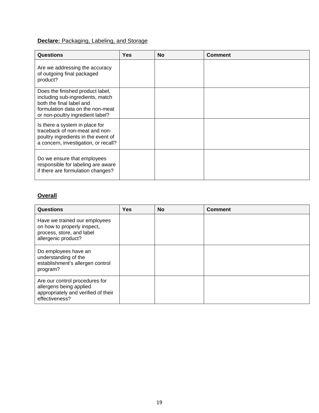### **Declare: Packaging, Labeling, and Storage**

| <b>Questions</b>                                                                                                                                                         | <b>Yes</b> | <b>No</b> | <b>Comment</b> |
|--------------------------------------------------------------------------------------------------------------------------------------------------------------------------|------------|-----------|----------------|
| Are we addressing the accuracy<br>of outgoing final packaged<br>product?                                                                                                 |            |           |                |
| Does the finished product label,<br>including sub-ingredients, match<br>both the final label and<br>formulation data on the non-meat<br>or non-poultry ingredient label? |            |           |                |
| Is there a system in place for<br>traceback of non-meat and non-<br>poultry ingredients in the event of<br>a concern, investigation, or recall?                          |            |           |                |
| Do we ensure that employees<br>responsible for labeling are aware<br>if there are formulation changes?                                                                   |            |           |                |

### **Overall**

| <b>Questions</b>                                                                                                   | <b>Yes</b> | <b>No</b> | <b>Comment</b> |
|--------------------------------------------------------------------------------------------------------------------|------------|-----------|----------------|
| Have we trained our employees<br>on how to properly inspect,<br>process, store, and label<br>allergenic product?   |            |           |                |
| Do employees have an<br>understanding of the<br>establishment's allergen control<br>program?                       |            |           |                |
| Are our control procedures for<br>allergens being applied<br>appropriately and verified of their<br>effectiveness? |            |           |                |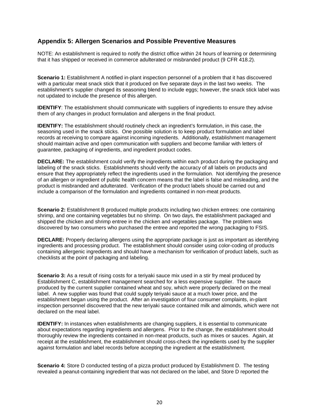### **Appendix 5: Allergen Scenarios and Possible Preventive Measures**

NOTE: An establishment is required to notify the district office within 24 hours of learning or determining that it has shipped or received in commerce adulterated or misbranded product (9 CFR 418.2).

**Scenario 1:** Establishment A notified in-plant inspection personnel of a problem that it has discovered with a particular meat snack stick that it produced on five separate days in the last two weeks. The establishment's supplier changed its seasoning blend to include eggs; however, the snack stick label was not updated to include the presence of this allergen.

**IDENTIFY**: The establishment should communicate with suppliers of ingredients to ensure they advise them of any changes in product formulation and allergens in the final product.

**IDENTIFY:** The establishment should routinely check an ingredient's formulation, in this case, the seasoning used in the snack sticks. One possible solution is to keep product formulation and label records at receiving to compare against incoming ingredients. Additionally, establishment management should maintain active and open communication with suppliers and become familiar with letters of guarantee, packaging of ingredients, and ingredient product codes.

**DECLARE:** The establishment could verify the ingredients within each product during the packaging and labeling of the snack sticks. Establishments should verify the accuracy of all labels on products and ensure that they appropriately reflect the ingredients used in the formulation. Not identifying the presence of an allergen or ingredient of public health concern means that the label is false and misleading, and the product is misbranded and adulterated. Verification of the product labels should be carried out and include a comparison of the formulation and ingredients contained in non-meat products.

**Scenario 2:** Establishment B produced multiple products including two chicken entrees: one containing shrimp, and one containing vegetables but no shrimp. On two days, the establishment packaged and shipped the chicken and shrimp entree in the chicken and vegetables package. The problem was discovered by two consumers who purchased the entree and reported the wrong packaging to FSIS.

**DECLARE:** Properly declaring allergens using the appropriate package is just as important as identifying ingredients and processing product. The establishment should consider using color-coding of products containing allergenic ingredients and should have a mechanism for verification of product labels, such as checklists at the point of packaging and labeling.

**Scenario 3:** As a result of rising costs for a teriyaki sauce mix used in a stir fry meal produced by Establishment C, establishment management searched for a less expensive supplier. The sauce produced by the current supplier contained wheat and soy, which were properly declared on the meal label. A new supplier was found that could supply teriyaki sauce at a much lower price, and the establishment began using the product. After an investigation of four consumer complaints, in-plant inspection personnel discovered that the new teriyaki sauce contained milk and almonds, which were not declared on the meal label.

**IDENTIFY:** In instances when establishments are changing suppliers, it is essential to communicate about expectations regarding ingredients and allergens. Prior to the change, the establishment should thoroughly review the ingredients contained in non-meat products, such as mixes or sauces. Again, at receipt at the establishment, the establishment should cross-check the ingredients used by the supplier against formulation and label records before accepting the ingredient at the establishment.

**Scenario 4:** Store D conducted testing of a pizza product produced by Establishment D. The testing revealed a peanut-containing ingredient that was not declared on the label, and Store D reported the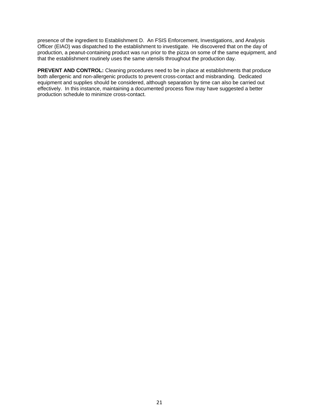presence of the ingredient to Establishment D. An FSIS Enforcement, Investigations, and Analysis Officer (EIAO) was dispatched to the establishment to investigate. He discovered that on the day of production, a peanut-containing product was run prior to the pizza on some of the same equipment, and that the establishment routinely uses the same utensils throughout the production day.

**PREVENT AND CONTROL:** Cleaning procedures need to be in place at establishments that produce both allergenic and non-allergenic products to prevent cross-contact and misbranding. Dedicated equipment and supplies should be considered, although separation by time can also be carried out effectively. In this instance, maintaining a documented process flow may have suggested a better production schedule to minimize cross-contact.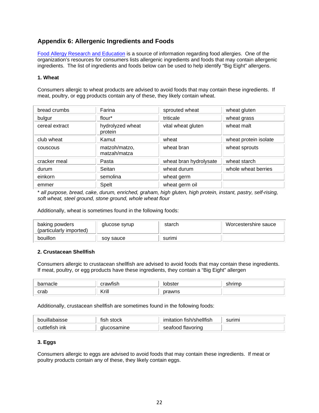### **Appendix 6: Allergenic Ingredients and Foods**

[Food Allergy Research and Education](http://www.foodallergy.org/) is a source of information regarding food allergies. One of the organization's resources for consumers lists allergenic ingredients and foods that may contain allergenic ingredients. The list of ingredients and foods below can be used to help identify "Big Eight" allergens.

#### **1. Wheat**

Consumers allergic to wheat products are advised to avoid foods that may contain these ingredients. If meat, poultry, or egg products contain any of these, they likely contain wheat.

| bread crumbs   | Farina                        | sprouted wheat         | wheat gluten          |
|----------------|-------------------------------|------------------------|-----------------------|
| bulgur         | flour*                        | triticale              | wheat grass           |
| cereal extract | hydrolyzed wheat<br>protein   | vital wheat gluten     | wheat malt            |
| club wheat     | Kamut                         | wheat                  | wheat protein isolate |
| couscous       | matzoh/matzo,<br>matzah/matza | wheat bran             | wheat sprouts         |
| cracker meal   | Pasta                         | wheat bran hydrolysate | wheat starch          |
| durum          | Seitan                        | wheat durum            | whole wheat berries   |
| einkorn        | semolina                      | wheat germ             |                       |
| emmer          | Spelt                         | wheat germ oil         |                       |

\* *all purpose, bread, cake, durum, enriched, graham, high gluten, high protein, instant, pastry, self-rising, soft wheat, steel ground, stone ground, whole wheat flour*

Additionally, wheat is sometimes found in the following foods:

| baking powders<br>(particularly imported) | glucose syrup | starch | Worcestershire sauce |
|-------------------------------------------|---------------|--------|----------------------|
| bouillon                                  | sov sauce     | surimi |                      |

#### **2. Crustacean Shellfish**

Consumers allergic to crustacean shellfish are advised to avoid foods that may contain these ingredients. If meat, poultry, or egg products have these ingredients, they contain a "Big Eight" allergen

| barnacle<br>iacie | $\cdot$<br>rrawt<br>. |                    | - HÌMA H |
|-------------------|-----------------------|--------------------|----------|
| crab              | Krill<br>.            | งrawns<br>חר<br>__ |          |

Additionally, crustacean shellfish are sometimes found in the following foods:

| bouillabaisse | stock<br>fish | fish/shellfish<br>imitation | surimi |
|---------------|---------------|-----------------------------|--------|
| tlefish ink.  | mine:         | flavoring                   |        |
| ΩU            | וור           | seatood                     |        |

#### **3. Eggs**

Consumers allergic to eggs are advised to avoid foods that may contain these ingredients. If meat or poultry products contain any of these, they likely contain eggs.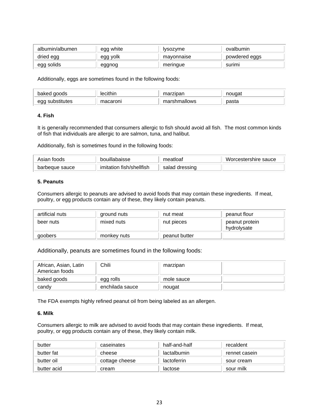| albumin/albumen | egg white | <i><b>Ivsozvme</b></i> | ovalbumin     |
|-----------------|-----------|------------------------|---------------|
| dried egg       | egg yolk  | mayonnaise             | powdered eggs |
| egg solids      | eggnog    | meringue               | surimi        |

Additionally, eggs are sometimes found in the following foods:

| baked goods      | lecithir | rzipan<br>на | nouɑat |
|------------------|----------|--------------|--------|
| pstitutes<br>egç | macaroni | marshmallows | pasta  |

### **4. Fish**

It is generally recommended that consumers allergic to fish should avoid all fish. The most common kinds of fish that individuals are allergic to are salmon, tuna, and halibut.

Additionally, fish is sometimes found in the following foods:

| Asian foods    | bouillabaisse               | meatloat          | Worcestershire sauce |
|----------------|-----------------------------|-------------------|----------------------|
| barbeque sauce | fish/shellfish<br>imitation | dressing<br>salad |                      |

#### **5. Peanuts**

Consumers allergic to peanuts are advised to avoid foods that may contain these ingredients. If meat, poultry, or egg products contain any of these, they likely contain peanuts.

| artificial nuts | ground nuts | nut meat      | peanut flour                  |
|-----------------|-------------|---------------|-------------------------------|
| beer nuts       | mixed nuts  | nut pieces    | peanut protein<br>hydrolysate |
| goobers         | monkey nuts | peanut butter |                               |

Additionally, peanuts are sometimes found in the following foods:

| African, Asian, Latin<br>American foods | Chili           | marzipan   |  |
|-----------------------------------------|-----------------|------------|--|
| baked goods                             | egg rolls       | mole sauce |  |
| candy                                   | enchilada sauce | nougat     |  |

The FDA exempts highly refined peanut oil from being labeled as an allergen.

### **6. Milk**

Consumers allergic to milk are advised to avoid foods that may contain these ingredients. If meat, poultry, or egg products contain any of these, they likely contain milk.

| butter      | caseinates     | half-and-half | recaldent     |
|-------------|----------------|---------------|---------------|
| butter fat  | cheese         | lactalbumin   | rennet casein |
| butter oil  | cottage cheese | lactoferrin   | sour cream    |
| butter acid | cream          | lactose       | sour milk     |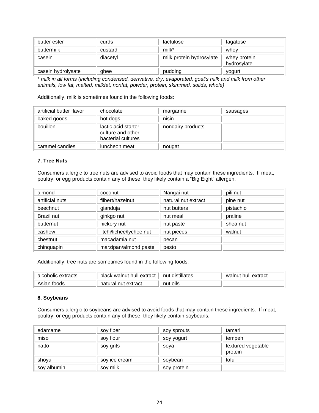| butter ester       | curds    | lactulose                | tagatose                    |
|--------------------|----------|--------------------------|-----------------------------|
| buttermilk         | custard  | milk*                    | whev                        |
| casein             | diacetyl | milk protein hydrosylate | whey protein<br>hydrosylate |
| casein hydrolysate | ghee     | pudding                  | yogurt                      |

\* *milk in all forms (including condensed, derivative, dry, evaporated, goat's milk and milk from other animals, low fat, malted, milkfat, nonfat, powder, protein, skimmed, solids, whole)*

Additionally, milk is sometimes found in the following foods:

| artificial butter flavor | chocolate                                                      | margarine         | sausages |
|--------------------------|----------------------------------------------------------------|-------------------|----------|
| baked goods              | hot dogs                                                       | nisin             |          |
| bouillon                 | lactic acid starter<br>culture and other<br>bacterial cultures | nondairy products |          |
| caramel candies          | luncheon meat                                                  | nougat            |          |

### **7. Tree Nuts**

Consumers allergic to tree nuts are advised to avoid foods that may contain these ingredients. If meat, poultry, or egg products contain any of these, they likely contain a "Big Eight" allergen.

| almond          | coconut                  | Nangai nut          | pili nut  |
|-----------------|--------------------------|---------------------|-----------|
| artificial nuts | filbert/hazelnut         | natural nut extract | pine nut  |
| beechnut        | gianduja                 | nut butters         | pistachio |
| Brazil nut      | ginkgo nut               | nut meal            | praline   |
| butternut       | hickory nut              | nut paste           | shea nut  |
| cashew          | litchi/lichee/lychee nut | nut pieces          | walnut    |
| chestnut        | macadamia nut            | pecan               |           |
| chinquapin      | marzipan/almond paste    | pesto               |           |

Additionally, tree nuts are sometimes found in the following foods:

| alcoholic extracts | black walnut hull extract | nut distillates | walnut hull extract |
|--------------------|---------------------------|-----------------|---------------------|
| Asian foods        | natural nut extract       | nut oils        |                     |

#### **8. Soybeans**

Consumers allergic to soybeans are advised to avoid foods that may contain these ingredients. If meat, poultry, or egg products contain any of these, they likely contain soybeans.

| edamame     | soy fiber     | soy sprouts | tamari                        |
|-------------|---------------|-------------|-------------------------------|
| miso        | soy flour     | soy yogurt  | tempeh                        |
| natto       | soy grits     | soya        | textured vegetable<br>protein |
| shoyu       | soy ice cream | soybean     | tofu                          |
| soy albumin | soy milk      | soy protein |                               |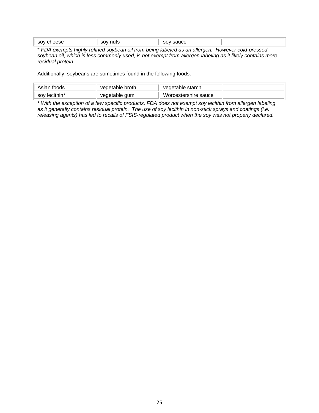| عوود<br>SOV<br>ہے ہ | nuts<br>.501 | sauce<br> |  |
|---------------------|--------------|-----------|--|
|                     |              |           |  |

\* *FDA exempts highly refined soybean oil from being labeled as an allergen. However cold-pressed soybean oil, which is less commonly used, is not exempt from allergen labeling as it likely contains more residual protein.*

Additionally, soybeans are sometimes found in the following foods:

| Asian toods   | vegetable broth | vegetable starch     |  |
|---------------|-----------------|----------------------|--|
| soy lecithin* | vegetable gum   | Worcestershire sauce |  |

\* *With the exception of a few specific products, FDA does not exempt soy lecithin from allergen labeling as it generally contains residual protein. The use of soy lecithin in non-stick sprays and coatings (i.e. releasing agents) has led to recalls of FSIS-regulated product when the soy was not properly declared.*